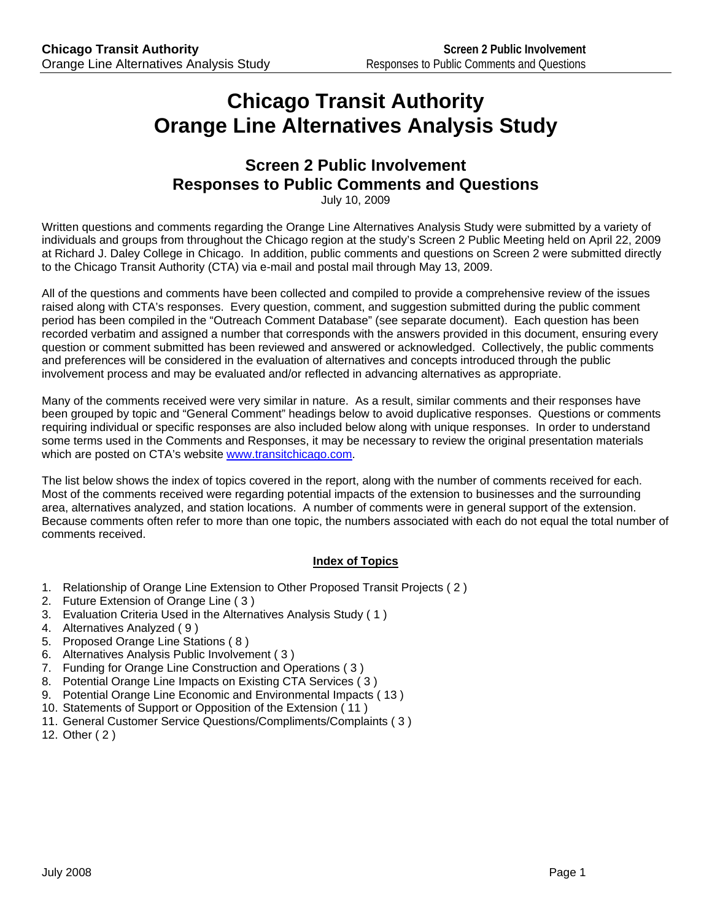# **Chicago Transit Authority Orange Line Alternatives Analysis Study**

# **Screen 2 Public Involvement Responses to Public Comments and Questions**

July 10, 2009

Written questions and comments regarding the Orange Line Alternatives Analysis Study were submitted by a variety of individuals and groups from throughout the Chicago region at the study's Screen 2 Public Meeting held on April 22, 2009 at Richard J. Daley College in Chicago. In addition, public comments and questions on Screen 2 were submitted directly to the Chicago Transit Authority (CTA) via e-mail and postal mail through May 13, 2009.

All of the questions and comments have been collected and compiled to provide a comprehensive review of the issues raised along with CTA's responses. Every question, comment, and suggestion submitted during the public comment period has been compiled in the "Outreach Comment Database" (see separate document). Each question has been recorded verbatim and assigned a number that corresponds with the answers provided in this document, ensuring every question or comment submitted has been reviewed and answered or acknowledged. Collectively, the public comments and preferences will be considered in the evaluation of alternatives and concepts introduced through the public involvement process and may be evaluated and/or reflected in advancing alternatives as appropriate.

Many of the comments received were very similar in nature. As a result, similar comments and their responses have been grouped by topic and "General Comment" headings below to avoid duplicative responses. Questions or comments requiring individual or specific responses are also included below along with unique responses. In order to understand some terms used in the Comments and Responses, it may be necessary to review the original presentation materials which are posted on CTA's website www.transitchicago.com.

The list below shows the index of topics covered in the report, along with the number of comments received for each. Most of the comments received were regarding potential impacts of the extension to businesses and the surrounding area, alternatives analyzed, and station locations. A number of comments were in general support of the extension. Because comments often refer to more than one topic, the numbers associated with each do not equal the total number of comments received.

## **Index of Topics**

- 1. Relationship of Orange Line Extension to Other Proposed Transit Projects ( 2 )
- 2. Future Extension of Orange Line ( 3 )
- 3. Evaluation Criteria Used in the Alternatives Analysis Study ( 1 )
- 4. Alternatives Analyzed ( 9 )
- 5. Proposed Orange Line Stations ( 8 )
- 6. Alternatives Analysis Public Involvement ( 3 )
- 7. Funding for Orange Line Construction and Operations ( 3 )
- 8. Potential Orange Line Impacts on Existing CTA Services ( 3 )
- 9. Potential Orange Line Economic and Environmental Impacts ( 13 )
- 10. Statements of Support or Opposition of the Extension ( 11 )
- 11. General Customer Service Questions/Compliments/Complaints ( 3 )
- 12. Other ( 2 )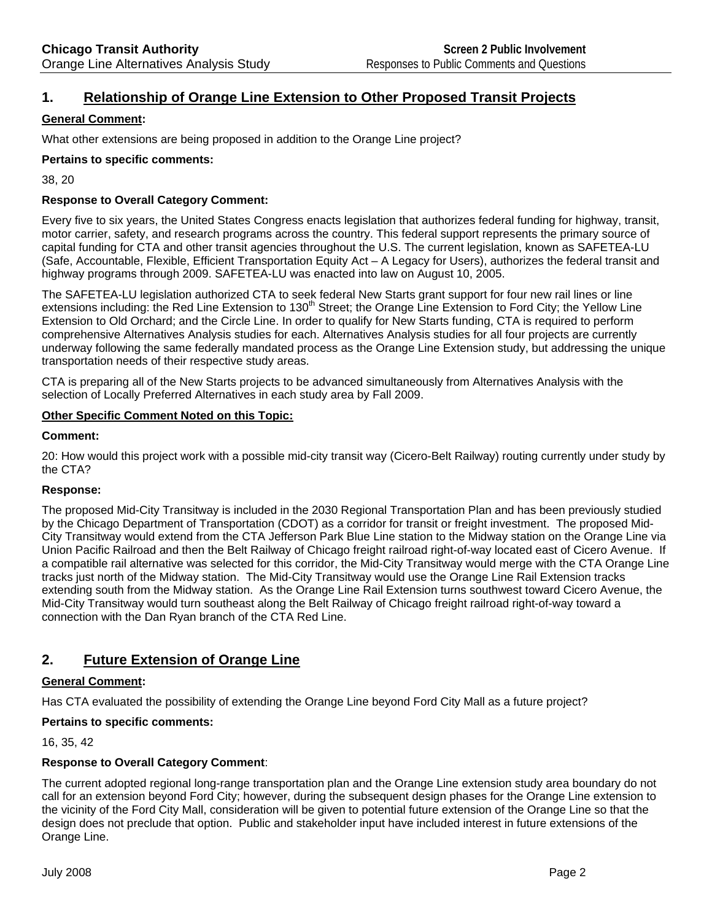# **1. Relationship of Orange Line Extension to Other Proposed Transit Projects**

## **General Comment:**

What other extensions are being proposed in addition to the Orange Line project?

## **Pertains to specific comments:**

38, 20

## **Response to Overall Category Comment:**

Every five to six years, the United States Congress enacts legislation that authorizes federal funding for highway, transit, motor carrier, safety, and research programs across the country. This federal support represents the primary source of capital funding for CTA and other transit agencies throughout the U.S. The current legislation, known as SAFETEA-LU (Safe, Accountable, Flexible, Efficient Transportation Equity Act – A Legacy for Users), authorizes the federal transit and highway programs through 2009. SAFETEA-LU was enacted into law on August 10, 2005.

The SAFETEA-LU legislation authorized CTA to seek federal New Starts grant support for four new rail lines or line extensions including: the Red Line Extension to 130<sup>th</sup> Street; the Orange Line Extension to Ford City; the Yellow Line Extension to Old Orchard; and the Circle Line. In order to qualify for New Starts funding, CTA is required to perform comprehensive Alternatives Analysis studies for each. Alternatives Analysis studies for all four projects are currently underway following the same federally mandated process as the Orange Line Extension study, but addressing the unique transportation needs of their respective study areas.

CTA is preparing all of the New Starts projects to be advanced simultaneously from Alternatives Analysis with the selection of Locally Preferred Alternatives in each study area by Fall 2009.

## **Other Specific Comment Noted on this Topic:**

#### **Comment:**

20: How would this project work with a possible mid-city transit way (Cicero-Belt Railway) routing currently under study by the CTA?

## **Response:**

The proposed Mid-City Transitway is included in the 2030 Regional Transportation Plan and has been previously studied by the Chicago Department of Transportation (CDOT) as a corridor for transit or freight investment. The proposed Mid-City Transitway would extend from the CTA Jefferson Park Blue Line station to the Midway station on the Orange Line via Union Pacific Railroad and then the Belt Railway of Chicago freight railroad right-of-way located east of Cicero Avenue. If a compatible rail alternative was selected for this corridor, the Mid-City Transitway would merge with the CTA Orange Line tracks just north of the Midway station. The Mid-City Transitway would use the Orange Line Rail Extension tracks extending south from the Midway station. As the Orange Line Rail Extension turns southwest toward Cicero Avenue, the Mid-City Transitway would turn southeast along the Belt Railway of Chicago freight railroad right-of-way toward a connection with the Dan Ryan branch of the CTA Red Line.

## **2. Future Extension of Orange Line**

## **General Comment:**

Has CTA evaluated the possibility of extending the Orange Line beyond Ford City Mall as a future project?

## **Pertains to specific comments:**

16, 35, 42

## **Response to Overall Category Comment**:

The current adopted regional long-range transportation plan and the Orange Line extension study area boundary do not call for an extension beyond Ford City; however, during the subsequent design phases for the Orange Line extension to the vicinity of the Ford City Mall, consideration will be given to potential future extension of the Orange Line so that the design does not preclude that option. Public and stakeholder input have included interest in future extensions of the Orange Line.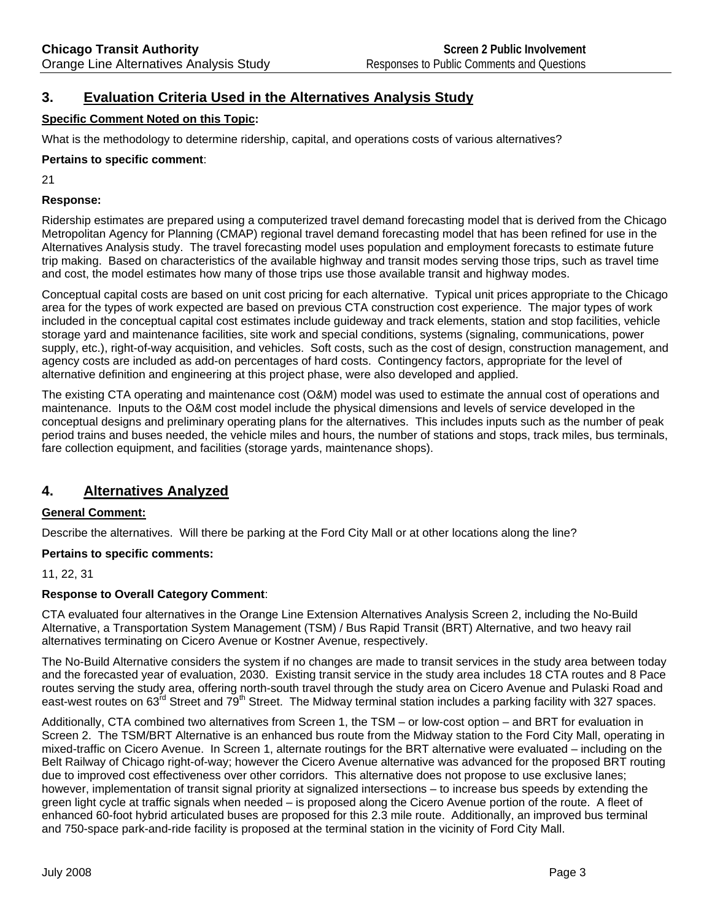# **3. Evaluation Criteria Used in the Alternatives Analysis Study**

## **Specific Comment Noted on this Topic:**

What is the methodology to determine ridership, capital, and operations costs of various alternatives?

## **Pertains to specific comment**:

21

## **Response:**

Ridership estimates are prepared using a computerized travel demand forecasting model that is derived from the Chicago Metropolitan Agency for Planning (CMAP) regional travel demand forecasting model that has been refined for use in the Alternatives Analysis study. The travel forecasting model uses population and employment forecasts to estimate future trip making. Based on characteristics of the available highway and transit modes serving those trips, such as travel time and cost, the model estimates how many of those trips use those available transit and highway modes.

Conceptual capital costs are based on unit cost pricing for each alternative. Typical unit prices appropriate to the Chicago area for the types of work expected are based on previous CTA construction cost experience. The major types of work included in the conceptual capital cost estimates include guideway and track elements, station and stop facilities, vehicle storage yard and maintenance facilities, site work and special conditions, systems (signaling, communications, power supply, etc.), right-of-way acquisition, and vehicles. Soft costs, such as the cost of design, construction management, and agency costs are included as add-on percentages of hard costs. Contingency factors, appropriate for the level of alternative definition and engineering at this project phase, were also developed and applied.

The existing CTA operating and maintenance cost (O&M) model was used to estimate the annual cost of operations and maintenance. Inputs to the O&M cost model include the physical dimensions and levels of service developed in the conceptual designs and preliminary operating plans for the alternatives. This includes inputs such as the number of peak period trains and buses needed, the vehicle miles and hours, the number of stations and stops, track miles, bus terminals, fare collection equipment, and facilities (storage yards, maintenance shops).

# **4. Alternatives Analyzed**

## **General Comment:**

Describe the alternatives. Will there be parking at the Ford City Mall or at other locations along the line?

## **Pertains to specific comments:**

11, 22, 31

## **Response to Overall Category Comment**:

CTA evaluated four alternatives in the Orange Line Extension Alternatives Analysis Screen 2, including the No-Build Alternative, a Transportation System Management (TSM) / Bus Rapid Transit (BRT) Alternative, and two heavy rail alternatives terminating on Cicero Avenue or Kostner Avenue, respectively.

The No-Build Alternative considers the system if no changes are made to transit services in the study area between today and the forecasted year of evaluation, 2030. Existing transit service in the study area includes 18 CTA routes and 8 Pace routes serving the study area, offering north-south travel through the study area on Cicero Avenue and Pulaski Road and east-west routes on 63<sup>rd</sup> Street and 79<sup>th</sup> Street. The Midway terminal station includes a parking facility with 327 spaces.

Additionally, CTA combined two alternatives from Screen 1, the TSM – or low-cost option – and BRT for evaluation in Screen 2. The TSM/BRT Alternative is an enhanced bus route from the Midway station to the Ford City Mall, operating in mixed-traffic on Cicero Avenue. In Screen 1, alternate routings for the BRT alternative were evaluated – including on the Belt Railway of Chicago right-of-way; however the Cicero Avenue alternative was advanced for the proposed BRT routing due to improved cost effectiveness over other corridors. This alternative does not propose to use exclusive lanes; however, implementation of transit signal priority at signalized intersections – to increase bus speeds by extending the green light cycle at traffic signals when needed – is proposed along the Cicero Avenue portion of the route. A fleet of enhanced 60-foot hybrid articulated buses are proposed for this 2.3 mile route. Additionally, an improved bus terminal and 750-space park-and-ride facility is proposed at the terminal station in the vicinity of Ford City Mall.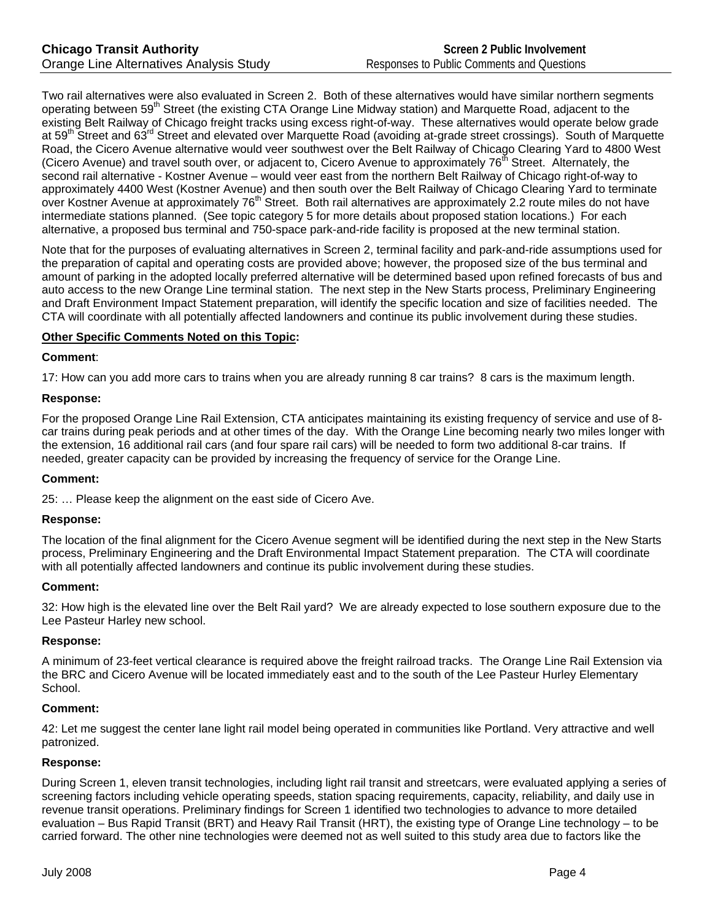Two rail alternatives were also evaluated in Screen 2. Both of these alternatives would have similar northern segments operating between 59<sup>th</sup> Street (the existing CTA Orange Line Midway station) and Marquette Road, adjacent to the existing Belt Railway of Chicago freight tracks using excess right-of-way. These alternatives would operate below grade at 59<sup>th</sup> Street and 63<sup>rd</sup> Street and elevated over Marquette Road (avoiding at-grade street crossings). South of Marquette Road, the Cicero Avenue alternative would veer southwest over the Belt Railway of Chicago Clearing Yard to 4800 West (Cicero Avenue) and travel south over, or adjacent to, Cicero Avenue to approximately  $76<sup>th</sup>$  Street. Alternately, the second rail alternative - Kostner Avenue – would veer east from the northern Belt Railway of Chicago right-of-way to approximately 4400 West (Kostner Avenue) and then south over the Belt Railway of Chicago Clearing Yard to terminate over Kostner Avenue at approximately 76<sup>th</sup> Street. Both rail alternatives are approximately 2.2 route miles do not have intermediate stations planned. (See topic category 5 for more details about proposed station locations.) For each alternative, a proposed bus terminal and 750-space park-and-ride facility is proposed at the new terminal station.

Note that for the purposes of evaluating alternatives in Screen 2, terminal facility and park-and-ride assumptions used for the preparation of capital and operating costs are provided above; however, the proposed size of the bus terminal and amount of parking in the adopted locally preferred alternative will be determined based upon refined forecasts of bus and auto access to the new Orange Line terminal station. The next step in the New Starts process, Preliminary Engineering and Draft Environment Impact Statement preparation, will identify the specific location and size of facilities needed. The CTA will coordinate with all potentially affected landowners and continue its public involvement during these studies.

## **Other Specific Comments Noted on this Topic:**

## **Comment**:

17: How can you add more cars to trains when you are already running 8 car trains? 8 cars is the maximum length.

## **Response:**

For the proposed Orange Line Rail Extension, CTA anticipates maintaining its existing frequency of service and use of 8 car trains during peak periods and at other times of the day. With the Orange Line becoming nearly two miles longer with the extension, 16 additional rail cars (and four spare rail cars) will be needed to form two additional 8-car trains. If needed, greater capacity can be provided by increasing the frequency of service for the Orange Line.

## **Comment:**

25: … Please keep the alignment on the east side of Cicero Ave.

## **Response:**

The location of the final alignment for the Cicero Avenue segment will be identified during the next step in the New Starts process, Preliminary Engineering and the Draft Environmental Impact Statement preparation. The CTA will coordinate with all potentially affected landowners and continue its public involvement during these studies.

## **Comment:**

32: How high is the elevated line over the Belt Rail yard? We are already expected to lose southern exposure due to the Lee Pasteur Harley new school.

## **Response:**

A minimum of 23-feet vertical clearance is required above the freight railroad tracks. The Orange Line Rail Extension via the BRC and Cicero Avenue will be located immediately east and to the south of the Lee Pasteur Hurley Elementary School.

## **Comment:**

42: Let me suggest the center lane light rail model being operated in communities like Portland. Very attractive and well patronized.

## **Response:**

During Screen 1, eleven transit technologies, including light rail transit and streetcars, were evaluated applying a series of screening factors including vehicle operating speeds, station spacing requirements, capacity, reliability, and daily use in revenue transit operations. Preliminary findings for Screen 1 identified two technologies to advance to more detailed evaluation – Bus Rapid Transit (BRT) and Heavy Rail Transit (HRT), the existing type of Orange Line technology – to be carried forward. The other nine technologies were deemed not as well suited to this study area due to factors like the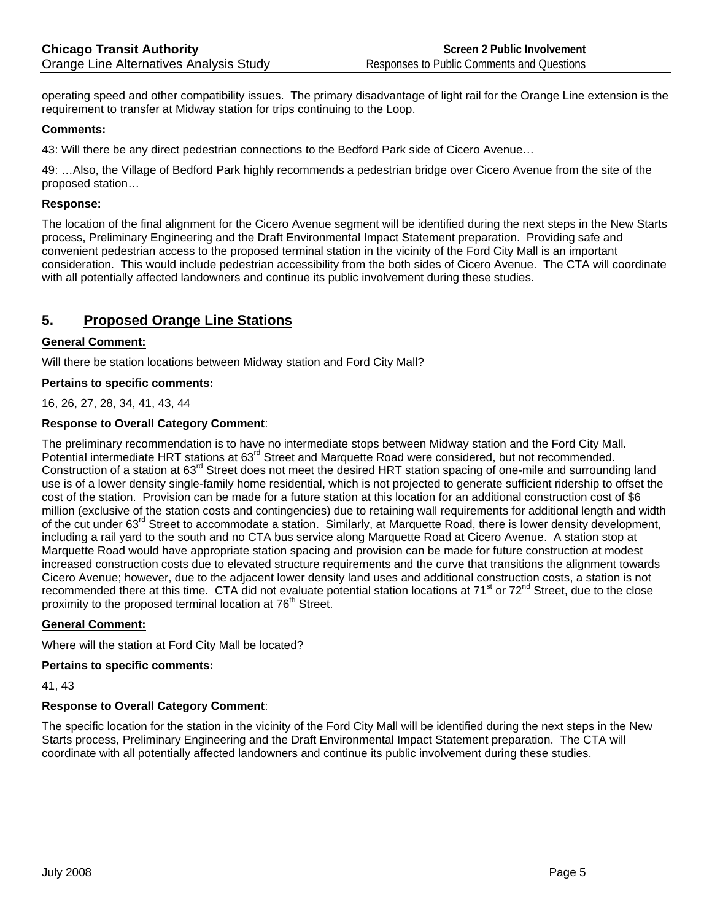operating speed and other compatibility issues. The primary disadvantage of light rail for the Orange Line extension is the requirement to transfer at Midway station for trips continuing to the Loop.

## **Comments:**

43: Will there be any direct pedestrian connections to the Bedford Park side of Cicero Avenue…

49: …Also, the Village of Bedford Park highly recommends a pedestrian bridge over Cicero Avenue from the site of the proposed station…

#### **Response:**

The location of the final alignment for the Cicero Avenue segment will be identified during the next steps in the New Starts process, Preliminary Engineering and the Draft Environmental Impact Statement preparation. Providing safe and convenient pedestrian access to the proposed terminal station in the vicinity of the Ford City Mall is an important consideration. This would include pedestrian accessibility from the both sides of Cicero Avenue. The CTA will coordinate with all potentially affected landowners and continue its public involvement during these studies.

## **5. Proposed Orange Line Stations**

## **General Comment:**

Will there be station locations between Midway station and Ford City Mall?

#### **Pertains to specific comments:**

16, 26, 27, 28, 34, 41, 43, 44

## **Response to Overall Category Comment**:

The preliminary recommendation is to have no intermediate stops between Midway station and the Ford City Mall. Potential intermediate HRT stations at 63<sup>rd</sup> Street and Marquette Road were considered, but not recommended. Construction of a station at  $63<sup>rd</sup>$  Street does not meet the desired HRT station spacing of one-mile and surrounding land use is of a lower density single-family home residential, which is not projected to generate sufficient ridership to offset the cost of the station. Provision can be made for a future station at this location for an additional construction cost of \$6 million (exclusive of the station costs and contingencies) due to retaining wall requirements for additional length and width of the cut under 63<sup>rd</sup> Street to accommodate a station. Similarly, at Marquette Road, there is lower density development, including a rail yard to the south and no CTA bus service along Marquette Road at Cicero Avenue. A station stop at Marquette Road would have appropriate station spacing and provision can be made for future construction at modest increased construction costs due to elevated structure requirements and the curve that transitions the alignment towards Cicero Avenue; however, due to the adjacent lower density land uses and additional construction costs, a station is not recommended there at this time. CTA did not evaluate potential station locations at  $71^{\text{st}}$  or  $72^{\text{nd}}$  Street, due to the close proximity to the proposed terminal location at 76<sup>th</sup> Street.

#### **General Comment:**

Where will the station at Ford City Mall be located?

## **Pertains to specific comments:**

41, 43

## **Response to Overall Category Comment**:

The specific location for the station in the vicinity of the Ford City Mall will be identified during the next steps in the New Starts process, Preliminary Engineering and the Draft Environmental Impact Statement preparation. The CTA will coordinate with all potentially affected landowners and continue its public involvement during these studies.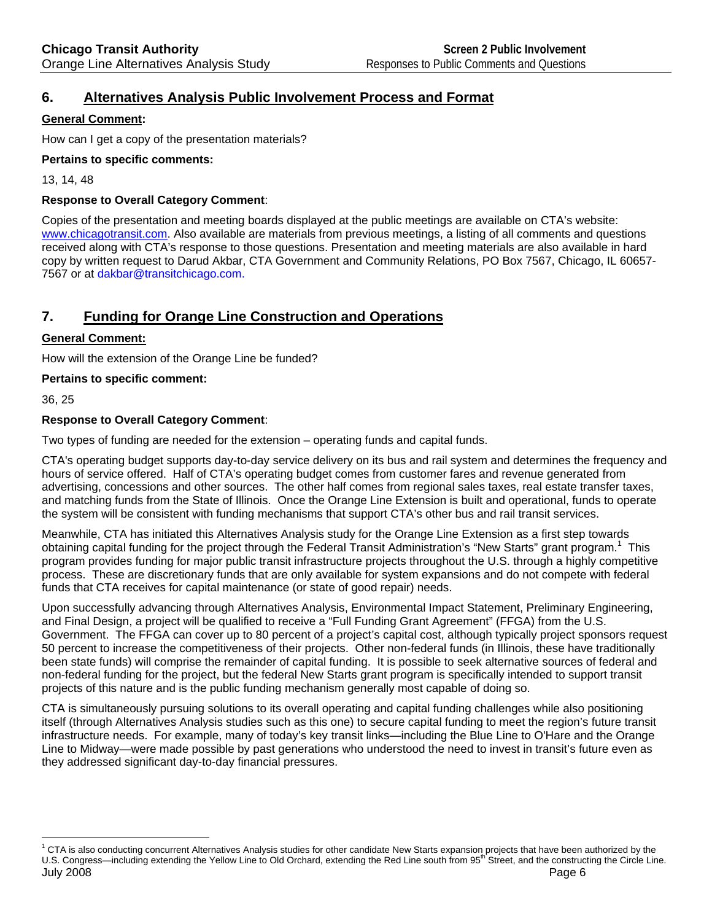# **6. Alternatives Analysis Public Involvement Process and Format**

## **General Comment:**

How can I get a copy of the presentation materials?

## **Pertains to specific comments:**

13, 14, 48

## **Response to Overall Category Comment**:

Copies of the presentation and meeting boards displayed at the public meetings are available on CTA's website: www.chicagotransit.com. Also available are materials from previous meetings, a listing of all comments and questions received along with CTA's response to those questions. Presentation and meeting materials are also available in hard copy by written request to Darud Akbar, CTA Government and Community Relations, PO Box 7567, Chicago, IL 60657- 7567 or at dakbar@transitchicago.com.

# **7. Funding for Orange Line Construction and Operations**

## **General Comment:**

How will the extension of the Orange Line be funded?

## **Pertains to specific comment:**

36, 25

 $\overline{a}$ 

## **Response to Overall Category Comment**:

Two types of funding are needed for the extension – operating funds and capital funds.

CTA's operating budget supports day-to-day service delivery on its bus and rail system and determines the frequency and hours of service offered. Half of CTA's operating budget comes from customer fares and revenue generated from advertising, concessions and other sources. The other half comes from regional sales taxes, real estate transfer taxes, and matching funds from the State of Illinois. Once the Orange Line Extension is built and operational, funds to operate the system will be consistent with funding mechanisms that support CTA's other bus and rail transit services.

Meanwhile, CTA has initiated this Alternatives Analysis study for the Orange Line Extension as a first step towards obtaining capital funding for the project through the Federal Transit Administration's "New Starts" grant program.<sup>1</sup> This program provides funding for major public transit infrastructure projects throughout the U.S. through a highly competitive process. These are discretionary funds that are only available for system expansions and do not compete with federal funds that CTA receives for capital maintenance (or state of good repair) needs.

Upon successfully advancing through Alternatives Analysis, Environmental Impact Statement, Preliminary Engineering, and Final Design, a project will be qualified to receive a "Full Funding Grant Agreement" (FFGA) from the U.S. Government. The FFGA can cover up to 80 percent of a project's capital cost, although typically project sponsors request 50 percent to increase the competitiveness of their projects. Other non-federal funds (in Illinois, these have traditionally been state funds) will comprise the remainder of capital funding. It is possible to seek alternative sources of federal and non-federal funding for the project, but the federal New Starts grant program is specifically intended to support transit projects of this nature and is the public funding mechanism generally most capable of doing so.

CTA is simultaneously pursuing solutions to its overall operating and capital funding challenges while also positioning itself (through Alternatives Analysis studies such as this one) to secure capital funding to meet the region's future transit infrastructure needs. For example, many of today's key transit links—including the Blue Line to O'Hare and the Orange Line to Midway—were made possible by past generations who understood the need to invest in transit's future even as they addressed significant day-to-day financial pressures.

July 2008 Page 6  $1$  CTA is also conducting concurrent Alternatives Analysis studies for other candidate New Starts expansion projects that have been authorized by the U.S. Congress—including extending the Yellow Line to Old Orchard, extending the Red Line south from 95<sup>th</sup> Street, and the constructing the Circle Line.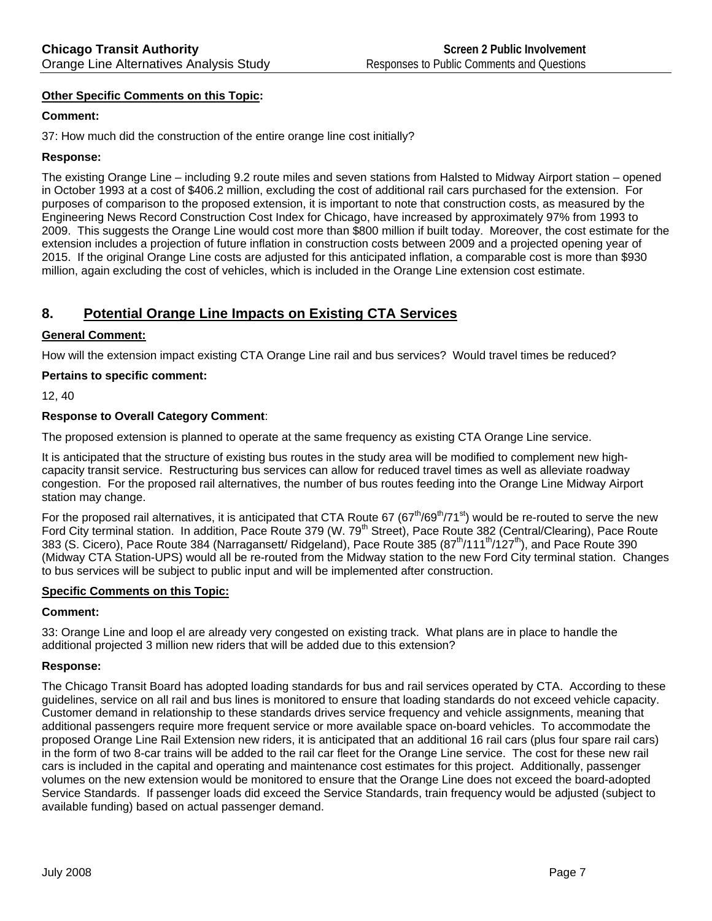## **Other Specific Comments on this Topic:**

## **Comment:**

37: How much did the construction of the entire orange line cost initially?

## **Response:**

The existing Orange Line – including 9.2 route miles and seven stations from Halsted to Midway Airport station – opened in October 1993 at a cost of \$406.2 million, excluding the cost of additional rail cars purchased for the extension. For purposes of comparison to the proposed extension, it is important to note that construction costs, as measured by the Engineering News Record Construction Cost Index for Chicago, have increased by approximately 97% from 1993 to 2009. This suggests the Orange Line would cost more than \$800 million if built today. Moreover, the cost estimate for the extension includes a projection of future inflation in construction costs between 2009 and a projected opening year of 2015. If the original Orange Line costs are adjusted for this anticipated inflation, a comparable cost is more than \$930 million, again excluding the cost of vehicles, which is included in the Orange Line extension cost estimate.

# **8. Potential Orange Line Impacts on Existing CTA Services**

## **General Comment:**

How will the extension impact existing CTA Orange Line rail and bus services? Would travel times be reduced?

## **Pertains to specific comment:**

12, 40

## **Response to Overall Category Comment**:

The proposed extension is planned to operate at the same frequency as existing CTA Orange Line service.

It is anticipated that the structure of existing bus routes in the study area will be modified to complement new highcapacity transit service. Restructuring bus services can allow for reduced travel times as well as alleviate roadway congestion. For the proposed rail alternatives, the number of bus routes feeding into the Orange Line Midway Airport station may change.

For the proposed rail alternatives, it is anticipated that CTA Route 67 ( $67<sup>th</sup>/69<sup>th</sup>/71<sup>st</sup>$ ) would be re-routed to serve the new Ford City terminal station. In addition, Pace Route 379 (W. 79<sup>th</sup> Street), Pace Route 382 (Central/Clearing), Pace Route 383 (S. Cicero), Pace Route 384 (Narragansett/ Ridgeland), Pace Route 385  $(87<sup>th</sup>/111<sup>th</sup>/127<sup>th</sup>)$ , and Pace Route 390 (Midway CTA Station-UPS) would all be re-routed from the Midway station to the new Ford City terminal station. Changes to bus services will be subject to public input and will be implemented after construction.

## **Specific Comments on this Topic:**

## **Comment:**

33: Orange Line and loop el are already very congested on existing track. What plans are in place to handle the additional projected 3 million new riders that will be added due to this extension?

## **Response:**

The Chicago Transit Board has adopted loading standards for bus and rail services operated by CTA. According to these guidelines, service on all rail and bus lines is monitored to ensure that loading standards do not exceed vehicle capacity. Customer demand in relationship to these standards drives service frequency and vehicle assignments, meaning that additional passengers require more frequent service or more available space on-board vehicles. To accommodate the proposed Orange Line Rail Extension new riders, it is anticipated that an additional 16 rail cars (plus four spare rail cars) in the form of two 8-car trains will be added to the rail car fleet for the Orange Line service. The cost for these new rail cars is included in the capital and operating and maintenance cost estimates for this project. Additionally, passenger volumes on the new extension would be monitored to ensure that the Orange Line does not exceed the board-adopted Service Standards. If passenger loads did exceed the Service Standards, train frequency would be adjusted (subject to available funding) based on actual passenger demand.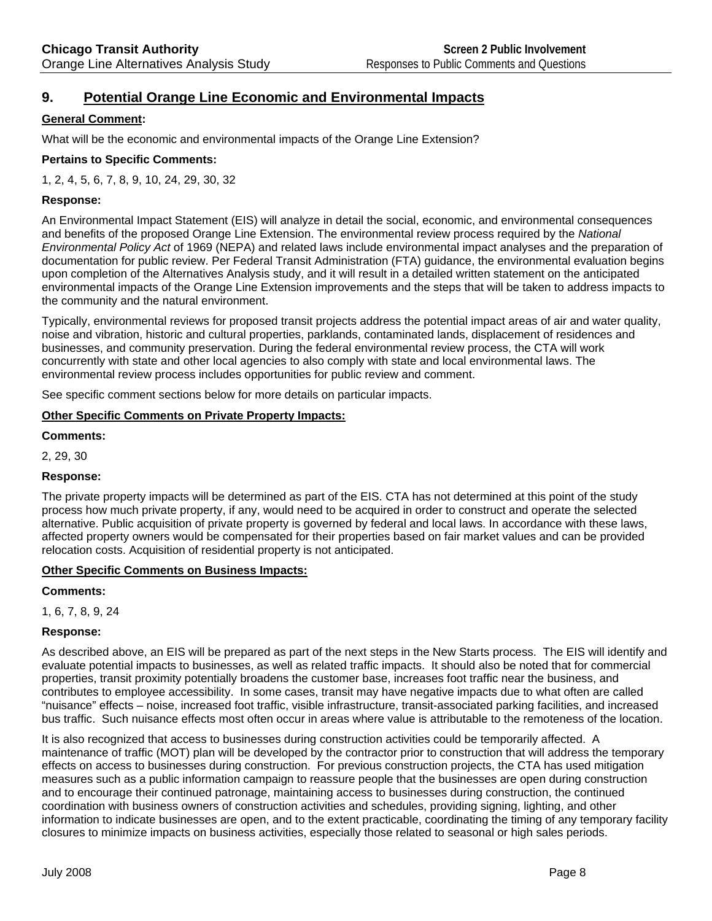# **9. Potential Orange Line Economic and Environmental Impacts**

## **General Comment:**

What will be the economic and environmental impacts of the Orange Line Extension?

## **Pertains to Specific Comments:**

1, 2, 4, 5, 6, 7, 8, 9, 10, 24, 29, 30, 32

## **Response:**

An Environmental Impact Statement (EIS) will analyze in detail the social, economic, and environmental consequences and benefits of the proposed Orange Line Extension. The environmental review process required by the *National Environmental Policy Act* of 1969 (NEPA) and related laws include environmental impact analyses and the preparation of documentation for public review. Per Federal Transit Administration (FTA) guidance, the environmental evaluation begins upon completion of the Alternatives Analysis study, and it will result in a detailed written statement on the anticipated environmental impacts of the Orange Line Extension improvements and the steps that will be taken to address impacts to the community and the natural environment.

Typically, environmental reviews for proposed transit projects address the potential impact areas of air and water quality, noise and vibration, historic and cultural properties, parklands, contaminated lands, displacement of residences and businesses, and community preservation. During the federal environmental review process, the CTA will work concurrently with state and other local agencies to also comply with state and local environmental laws. The environmental review process includes opportunities for public review and comment.

See specific comment sections below for more details on particular impacts.

## **Other Specific Comments on Private Property Impacts:**

**Comments:** 

2, 29, 30

## **Response:**

The private property impacts will be determined as part of the EIS. CTA has not determined at this point of the study process how much private property, if any, would need to be acquired in order to construct and operate the selected alternative. Public acquisition of private property is governed by federal and local laws. In accordance with these laws, affected property owners would be compensated for their properties based on fair market values and can be provided relocation costs. Acquisition of residential property is not anticipated.

## **Other Specific Comments on Business Impacts:**

## **Comments:**

1, 6, 7, 8, 9, 24

## **Response:**

As described above, an EIS will be prepared as part of the next steps in the New Starts process. The EIS will identify and evaluate potential impacts to businesses, as well as related traffic impacts. It should also be noted that for commercial properties, transit proximity potentially broadens the customer base, increases foot traffic near the business, and contributes to employee accessibility. In some cases, transit may have negative impacts due to what often are called "nuisance" effects – noise, increased foot traffic, visible infrastructure, transit-associated parking facilities, and increased bus traffic. Such nuisance effects most often occur in areas where value is attributable to the remoteness of the location.

It is also recognized that access to businesses during construction activities could be temporarily affected. A maintenance of traffic (MOT) plan will be developed by the contractor prior to construction that will address the temporary effects on access to businesses during construction. For previous construction projects, the CTA has used mitigation measures such as a public information campaign to reassure people that the businesses are open during construction and to encourage their continued patronage, maintaining access to businesses during construction, the continued coordination with business owners of construction activities and schedules, providing signing, lighting, and other information to indicate businesses are open, and to the extent practicable, coordinating the timing of any temporary facility closures to minimize impacts on business activities, especially those related to seasonal or high sales periods.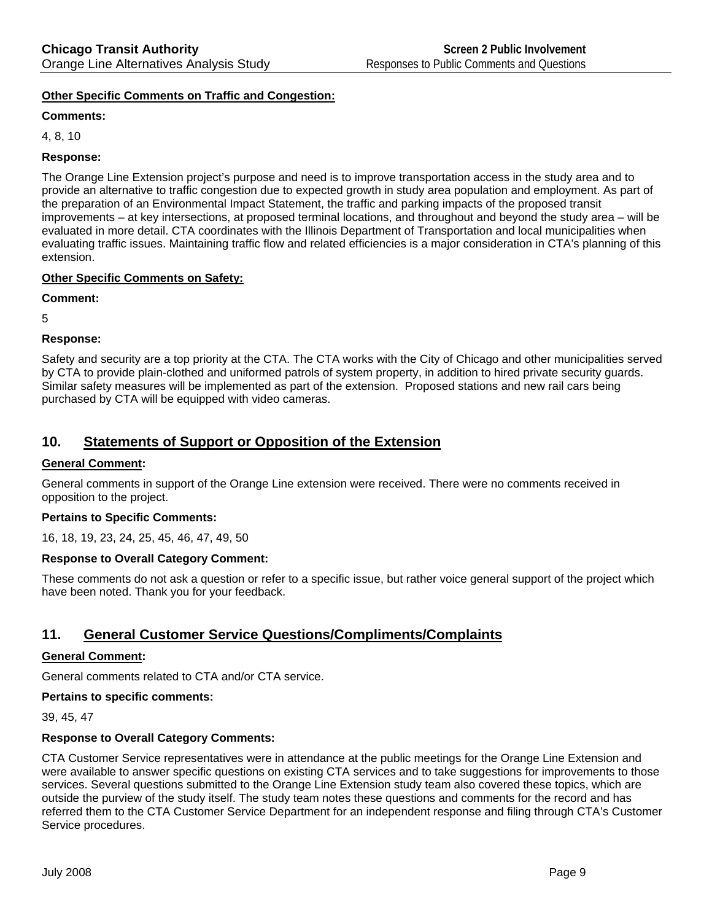## **Other Specific Comments on Traffic and Congestion:**

## **Comments:**

4, 8, 10

## **Response:**

The Orange Line Extension project's purpose and need is to improve transportation access in the study area and to provide an alternative to traffic congestion due to expected growth in study area population and employment. As part of the preparation of an Environmental Impact Statement, the traffic and parking impacts of the proposed transit improvements – at key intersections, at proposed terminal locations, and throughout and beyond the study area – will be evaluated in more detail. CTA coordinates with the Illinois Department of Transportation and local municipalities when evaluating traffic issues. Maintaining traffic flow and related efficiencies is a major consideration in CTA's planning of this extension.

## **Other Specific Comments on Safety:**

**Comment:** 

5

## **Response:**

Safety and security are a top priority at the CTA. The CTA works with the City of Chicago and other municipalities served by CTA to provide plain-clothed and uniformed patrols of system property, in addition to hired private security guards. Similar safety measures will be implemented as part of the extension. Proposed stations and new rail cars being purchased by CTA will be equipped with video cameras.

# **10. Statements of Support or Opposition of the Extension**

## **General Comment:**

General comments in support of the Orange Line extension were received. There were no comments received in opposition to the project.

## **Pertains to Specific Comments:**

16, 18, 19, 23, 24, 25, 45, 46, 47, 49, 50

## **Response to Overall Category Comment:**

These comments do not ask a question or refer to a specific issue, but rather voice general support of the project which have been noted. Thank you for your feedback.

# **11. General Customer Service Questions/Compliments/Complaints**

## **General Comment:**

General comments related to CTA and/or CTA service.

## **Pertains to specific comments:**

39, 45, 47

## **Response to Overall Category Comments:**

CTA Customer Service representatives were in attendance at the public meetings for the Orange Line Extension and were available to answer specific questions on existing CTA services and to take suggestions for improvements to those services. Several questions submitted to the Orange Line Extension study team also covered these topics, which are outside the purview of the study itself. The study team notes these questions and comments for the record and has referred them to the CTA Customer Service Department for an independent response and filing through CTA's Customer Service procedures.